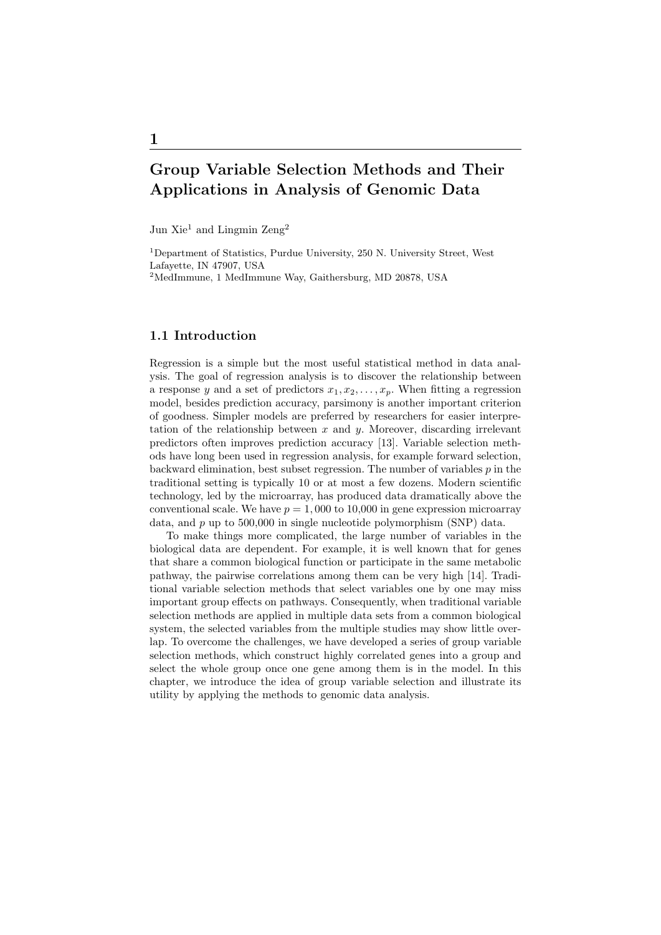# Group Variable Selection Methods and Their Applications in Analysis of Genomic Data

Jun Xie<sup>1</sup> and Lingmin Zeng<sup>2</sup>

<sup>1</sup>Department of Statistics, Purdue University, 250 N. University Street, West Lafayette, IN 47907, USA

<sup>2</sup>MedImmune, 1 MedImmune Way, Gaithersburg, MD 20878, USA

# 1.1 Introduction

Regression is a simple but the most useful statistical method in data analysis. The goal of regression analysis is to discover the relationship between a response y and a set of predictors  $x_1, x_2, \ldots, x_p$ . When fitting a regression model, besides prediction accuracy, parsimony is another important criterion of goodness. Simpler models are preferred by researchers for easier interpretation of the relationship between  $x$  and  $y$ . Moreover, discarding irrelevant predictors often improves prediction accuracy [13]. Variable selection methods have long been used in regression analysis, for example forward selection, backward elimination, best subset regression. The number of variables  $p$  in the traditional setting is typically 10 or at most a few dozens. Modern scientific technology, led by the microarray, has produced data dramatically above the conventional scale. We have  $p = 1,000$  to 10,000 in gene expression microarray data, and  $p$  up to 500,000 in single nucleotide polymorphism (SNP) data.

To make things more complicated, the large number of variables in the biological data are dependent. For example, it is well known that for genes that share a common biological function or participate in the same metabolic pathway, the pairwise correlations among them can be very high [14]. Traditional variable selection methods that select variables one by one may miss important group effects on pathways. Consequently, when traditional variable selection methods are applied in multiple data sets from a common biological system, the selected variables from the multiple studies may show little overlap. To overcome the challenges, we have developed a series of group variable selection methods, which construct highly correlated genes into a group and select the whole group once one gene among them is in the model. In this chapter, we introduce the idea of group variable selection and illustrate its utility by applying the methods to genomic data analysis.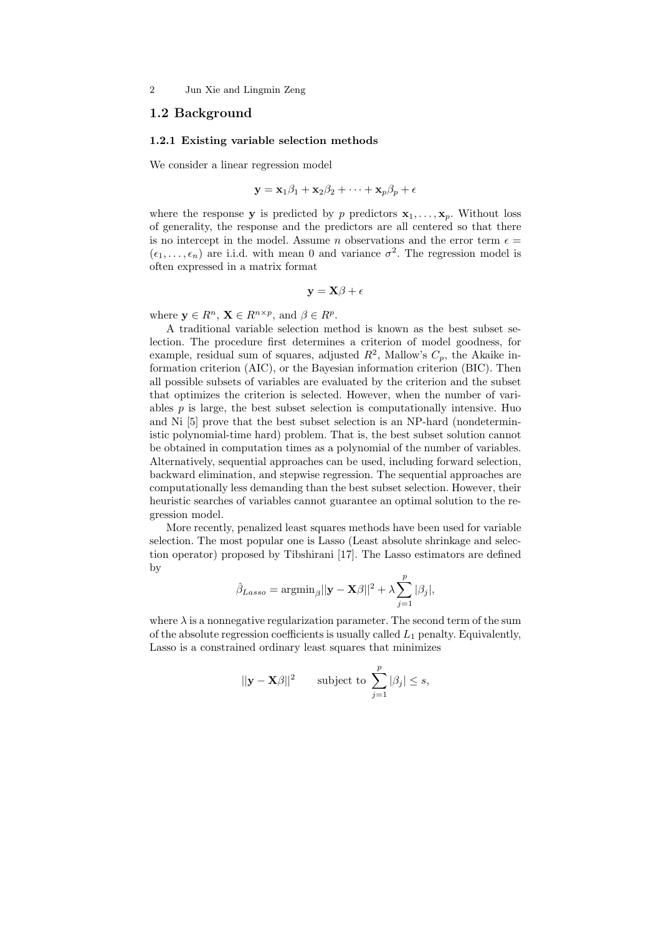# 1.2 Background

## 1.2.1 Existing variable selection methods

We consider a linear regression model

$$
\mathbf{y} = \mathbf{x}_1 \beta_1 + \mathbf{x}_2 \beta_2 + \dots + \mathbf{x}_p \beta_p + \epsilon
$$

where the response y is predicted by p predictors  $x_1, \ldots, x_p$ . Without loss of generality, the response and the predictors are all centered so that there is no intercept in the model. Assume *n* observations and the error term  $\epsilon$  =  $(\epsilon_1, \ldots, \epsilon_n)$  are i.i.d. with mean 0 and variance  $\sigma^2$ . The regression model is often expressed in a matrix format

$$
\mathbf{y} = \mathbf{X}\boldsymbol{\beta} + \boldsymbol{\epsilon}
$$

where  $y \in R^n$ ,  $\mathbf{X} \in R^{n \times p}$ , and  $\beta \in R^p$ .

A traditional variable selection method is known as the best subset selection. The procedure first determines a criterion of model goodness, for example, residual sum of squares, adjusted  $R^2$ , Mallow's  $C_p$ , the Akaike information criterion (AIC), or the Bayesian information criterion (BIC). Then all possible subsets of variables are evaluated by the criterion and the subset that optimizes the criterion is selected. However, when the number of variables  $p$  is large, the best subset selection is computationally intensive. Huo and Ni [5] prove that the best subset selection is an NP-hard (nondeterministic polynomial-time hard) problem. That is, the best subset solution cannot be obtained in computation times as a polynomial of the number of variables. Alternatively, sequential approaches can be used, including forward selection, backward elimination, and stepwise regression. The sequential approaches are computationally less demanding than the best subset selection. However, their heuristic searches of variables cannot guarantee an optimal solution to the regression model.

More recently, penalized least squares methods have been used for variable selection. The most popular one is Lasso (Least absolute shrinkage and selection operator) proposed by Tibshirani [17]. The Lasso estimators are defined by

$$
\hat{\beta}_{Lasso} = \operatorname{argmin}_{\beta} ||\mathbf{y} - \mathbf{X}\beta||^2 + \lambda \sum_{j=1}^{p} |\beta_j|,
$$

where  $\lambda$  is a nonnegative regularization parameter. The second term of the sum of the absolute regression coefficients is usually called  $L_1$  penalty. Equivalently, Lasso is a constrained ordinary least squares that minimizes

$$
||\mathbf{y} - \mathbf{X}\boldsymbol{\beta}||^2
$$
 subject to  $\sum_{j=1}^p |\beta_j| \leq s$ ,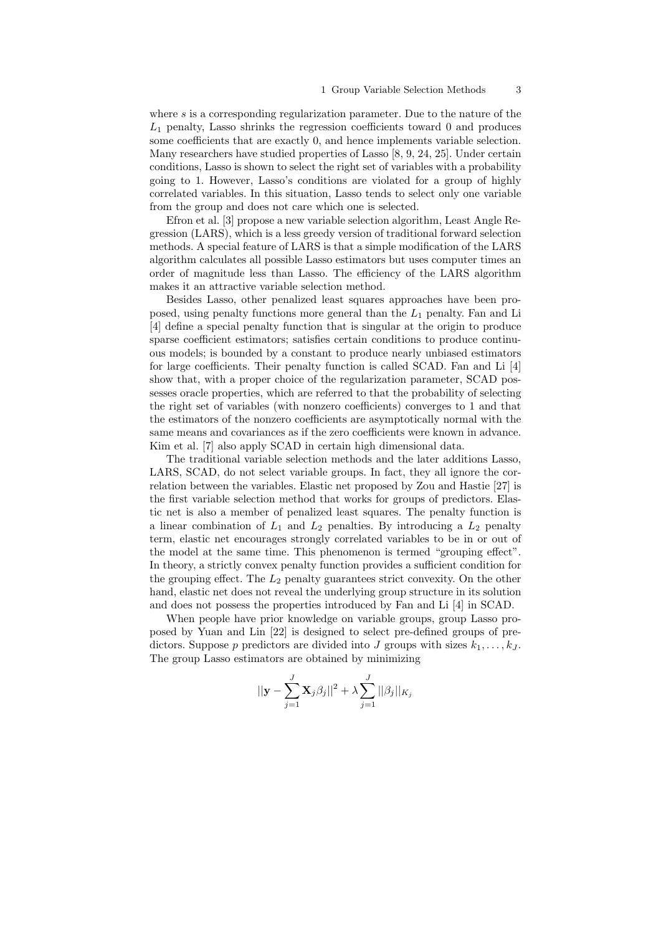where  $s$  is a corresponding regularization parameter. Due to the nature of the  $L_1$  penalty, Lasso shrinks the regression coefficients toward 0 and produces some coefficients that are exactly 0, and hence implements variable selection. Many researchers have studied properties of Lasso [8, 9, 24, 25]. Under certain conditions, Lasso is shown to select the right set of variables with a probability going to 1. However, Lasso's conditions are violated for a group of highly correlated variables. In this situation, Lasso tends to select only one variable from the group and does not care which one is selected.

Efron et al. [3] propose a new variable selection algorithm, Least Angle Regression (LARS), which is a less greedy version of traditional forward selection methods. A special feature of LARS is that a simple modification of the LARS algorithm calculates all possible Lasso estimators but uses computer times an order of magnitude less than Lasso. The efficiency of the LARS algorithm makes it an attractive variable selection method.

Besides Lasso, other penalized least squares approaches have been proposed, using penalty functions more general than the  $L_1$  penalty. Fan and Li [4] define a special penalty function that is singular at the origin to produce sparse coefficient estimators; satisfies certain conditions to produce continuous models; is bounded by a constant to produce nearly unbiased estimators for large coefficients. Their penalty function is called SCAD. Fan and Li [4] show that, with a proper choice of the regularization parameter, SCAD possesses oracle properties, which are referred to that the probability of selecting the right set of variables (with nonzero coefficients) converges to 1 and that the estimators of the nonzero coefficients are asymptotically normal with the same means and covariances as if the zero coefficients were known in advance. Kim et al. [7] also apply SCAD in certain high dimensional data.

The traditional variable selection methods and the later additions Lasso, LARS, SCAD, do not select variable groups. In fact, they all ignore the correlation between the variables. Elastic net proposed by Zou and Hastie [27] is the first variable selection method that works for groups of predictors. Elastic net is also a member of penalized least squares. The penalty function is a linear combination of  $L_1$  and  $L_2$  penalties. By introducing a  $L_2$  penalty term, elastic net encourages strongly correlated variables to be in or out of the model at the same time. This phenomenon is termed "grouping effect". In theory, a strictly convex penalty function provides a sufficient condition for the grouping effect. The  $L_2$  penalty guarantees strict convexity. On the other hand, elastic net does not reveal the underlying group structure in its solution and does not possess the properties introduced by Fan and Li [4] in SCAD.

When people have prior knowledge on variable groups, group Lasso proposed by Yuan and Lin [22] is designed to select pre-defined groups of predictors. Suppose p predictors are divided into J groups with sizes  $k_1, \ldots, k_J$ . The group Lasso estimators are obtained by minimizing

$$
||\mathbf{y} - \sum_{j=1}^{J} \mathbf{X}_{j} \beta_{j}||^{2} + \lambda \sum_{j=1}^{J} ||\beta_{j}||_{K_{j}}
$$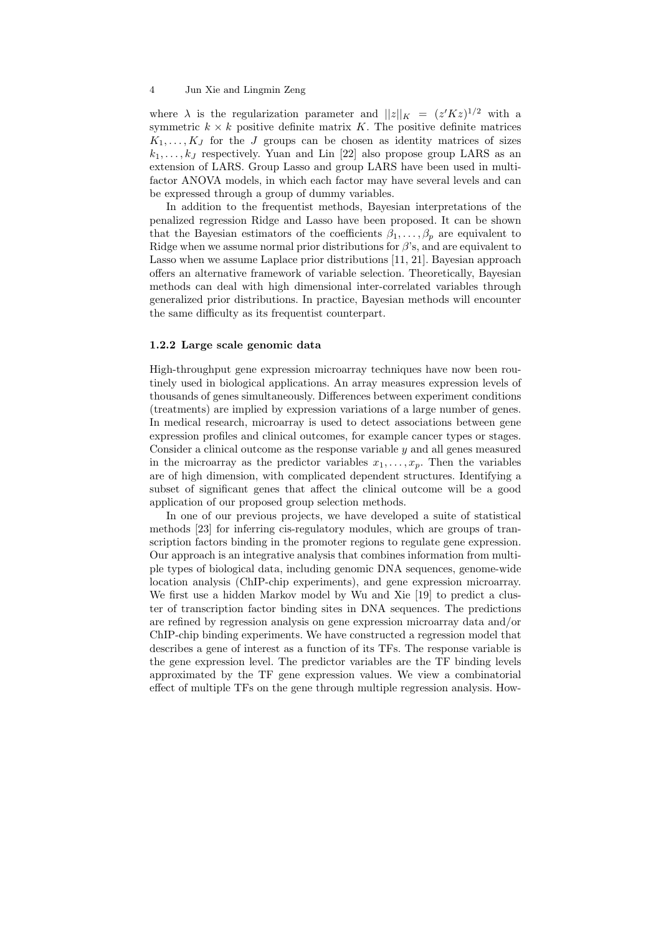where  $\lambda$  is the regularization parameter and  $||z||_K = (z'Kz)^{1/2}$  with a symmetric  $k \times k$  positive definite matrix K. The positive definite matrices  $K_1, \ldots, K_J$  for the J groups can be chosen as identity matrices of sizes  $k_1, \ldots, k_J$  respectively. Yuan and Lin [22] also propose group LARS as an extension of LARS. Group Lasso and group LARS have been used in multifactor ANOVA models, in which each factor may have several levels and can be expressed through a group of dummy variables.

In addition to the frequentist methods, Bayesian interpretations of the penalized regression Ridge and Lasso have been proposed. It can be shown that the Bayesian estimators of the coefficients  $\beta_1, \ldots, \beta_p$  are equivalent to Ridge when we assume normal prior distributions for  $\beta$ 's, and are equivalent to Lasso when we assume Laplace prior distributions [11, 21]. Bayesian approach offers an alternative framework of variable selection. Theoretically, Bayesian methods can deal with high dimensional inter-correlated variables through generalized prior distributions. In practice, Bayesian methods will encounter the same difficulty as its frequentist counterpart.

#### 1.2.2 Large scale genomic data

High-throughput gene expression microarray techniques have now been routinely used in biological applications. An array measures expression levels of thousands of genes simultaneously. Differences between experiment conditions (treatments) are implied by expression variations of a large number of genes. In medical research, microarray is used to detect associations between gene expression profiles and clinical outcomes, for example cancer types or stages. Consider a clinical outcome as the response variable  $y$  and all genes measured in the microarray as the predictor variables  $x_1, \ldots, x_p$ . Then the variables are of high dimension, with complicated dependent structures. Identifying a subset of significant genes that affect the clinical outcome will be a good application of our proposed group selection methods.

In one of our previous projects, we have developed a suite of statistical methods [23] for inferring cis-regulatory modules, which are groups of transcription factors binding in the promoter regions to regulate gene expression. Our approach is an integrative analysis that combines information from multiple types of biological data, including genomic DNA sequences, genome-wide location analysis (ChIP-chip experiments), and gene expression microarray. We first use a hidden Markov model by Wu and Xie [19] to predict a cluster of transcription factor binding sites in DNA sequences. The predictions are refined by regression analysis on gene expression microarray data and/or ChIP-chip binding experiments. We have constructed a regression model that describes a gene of interest as a function of its TFs. The response variable is the gene expression level. The predictor variables are the TF binding levels approximated by the TF gene expression values. We view a combinatorial effect of multiple TFs on the gene through multiple regression analysis. How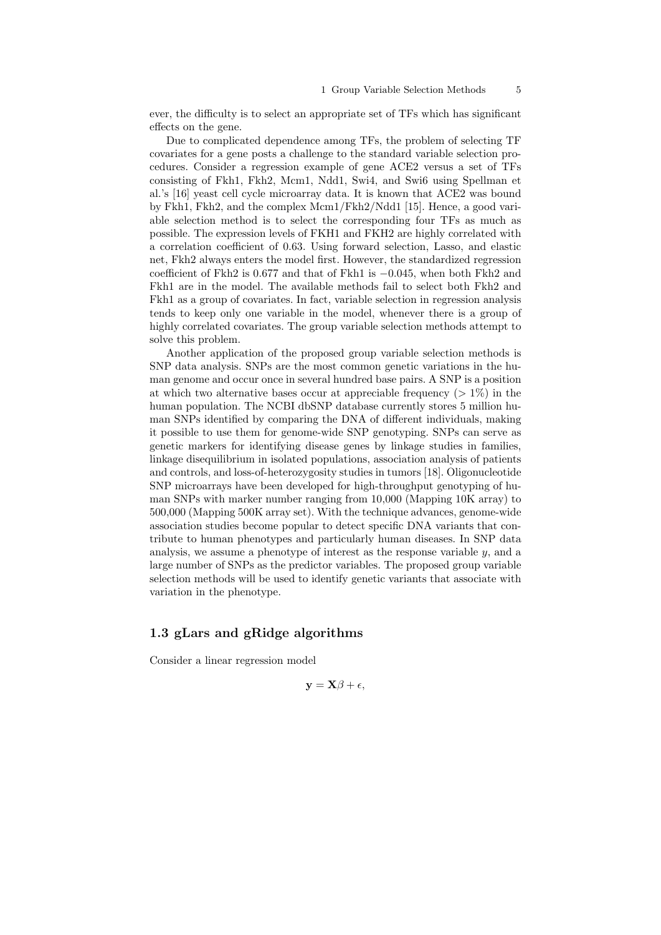ever, the difficulty is to select an appropriate set of TFs which has significant effects on the gene.

Due to complicated dependence among TFs, the problem of selecting TF covariates for a gene posts a challenge to the standard variable selection procedures. Consider a regression example of gene ACE2 versus a set of TFs consisting of Fkh1, Fkh2, Mcm1, Ndd1, Swi4, and Swi6 using Spellman et al.'s [16] yeast cell cycle microarray data. It is known that ACE2 was bound by Fkh1, Fkh2, and the complex Mcm1/Fkh2/Ndd1 [15]. Hence, a good variable selection method is to select the corresponding four TFs as much as possible. The expression levels of FKH1 and FKH2 are highly correlated with a correlation coefficient of 0.63. Using forward selection, Lasso, and elastic net, Fkh2 always enters the model first. However, the standardized regression coefficient of Fkh2 is 0.677 and that of Fkh1 is −0.045, when both Fkh2 and Fkh1 are in the model. The available methods fail to select both Fkh2 and Fkh1 as a group of covariates. In fact, variable selection in regression analysis tends to keep only one variable in the model, whenever there is a group of highly correlated covariates. The group variable selection methods attempt to solve this problem.

Another application of the proposed group variable selection methods is SNP data analysis. SNPs are the most common genetic variations in the human genome and occur once in several hundred base pairs. A SNP is a position at which two alternative bases occur at appreciable frequency  $(1\%)$  in the human population. The NCBI dbSNP database currently stores 5 million human SNPs identified by comparing the DNA of different individuals, making it possible to use them for genome-wide SNP genotyping. SNPs can serve as genetic markers for identifying disease genes by linkage studies in families, linkage disequilibrium in isolated populations, association analysis of patients and controls, and loss-of-heterozygosity studies in tumors [18]. Oligonucleotide SNP microarrays have been developed for high-throughput genotyping of human SNPs with marker number ranging from 10,000 (Mapping 10K array) to 500,000 (Mapping 500K array set). With the technique advances, genome-wide association studies become popular to detect specific DNA variants that contribute to human phenotypes and particularly human diseases. In SNP data analysis, we assume a phenotype of interest as the response variable y, and a large number of SNPs as the predictor variables. The proposed group variable selection methods will be used to identify genetic variants that associate with variation in the phenotype.

# 1.3 gLars and gRidge algorithms

Consider a linear regression model

$$
\mathbf{y} = \mathbf{X}\boldsymbol{\beta} + \boldsymbol{\epsilon},
$$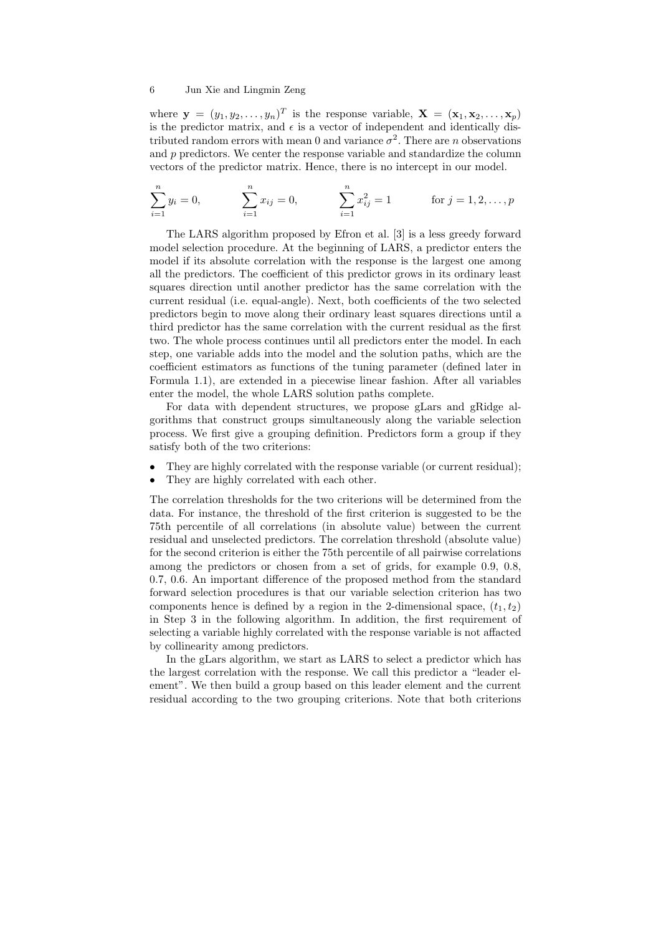where  $\mathbf{y} = (y_1, y_2, \dots, y_n)^T$  is the response variable,  $\mathbf{X} = (\mathbf{x}_1, \mathbf{x}_2, \dots, \mathbf{x}_p)$ is the predictor matrix, and  $\epsilon$  is a vector of independent and identically distributed random errors with mean 0 and variance  $\sigma^2$ . There are *n* observations and  $p$  predictors. We center the response variable and standardize the column vectors of the predictor matrix. Hence, there is no intercept in our model.

$$
\sum_{i=1}^{n} y_i = 0, \qquad \sum_{i=1}^{n} x_{ij} = 0, \qquad \sum_{i=1}^{n} x_{ij}^2 = 1 \qquad \text{for } j = 1, 2, \dots, p
$$

The LARS algorithm proposed by Efron et al. [3] is a less greedy forward model selection procedure. At the beginning of LARS, a predictor enters the model if its absolute correlation with the response is the largest one among all the predictors. The coefficient of this predictor grows in its ordinary least squares direction until another predictor has the same correlation with the current residual (i.e. equal-angle). Next, both coefficients of the two selected predictors begin to move along their ordinary least squares directions until a third predictor has the same correlation with the current residual as the first two. The whole process continues until all predictors enter the model. In each step, one variable adds into the model and the solution paths, which are the coefficient estimators as functions of the tuning parameter (defined later in Formula 1.1), are extended in a piecewise linear fashion. After all variables enter the model, the whole LARS solution paths complete.

For data with dependent structures, we propose gLars and gRidge algorithms that construct groups simultaneously along the variable selection process. We first give a grouping definition. Predictors form a group if they satisfy both of the two criterions:

- They are highly correlated with the response variable (or current residual);
- They are highly correlated with each other.

The correlation thresholds for the two criterions will be determined from the data. For instance, the threshold of the first criterion is suggested to be the 75th percentile of all correlations (in absolute value) between the current residual and unselected predictors. The correlation threshold (absolute value) for the second criterion is either the 75th percentile of all pairwise correlations among the predictors or chosen from a set of grids, for example 0.9, 0.8, 0.7, 0.6. An important difference of the proposed method from the standard forward selection procedures is that our variable selection criterion has two components hence is defined by a region in the 2-dimensional space,  $(t_1, t_2)$ in Step 3 in the following algorithm. In addition, the first requirement of selecting a variable highly correlated with the response variable is not affacted by collinearity among predictors.

In the gLars algorithm, we start as LARS to select a predictor which has the largest correlation with the response. We call this predictor a "leader element". We then build a group based on this leader element and the current residual according to the two grouping criterions. Note that both criterions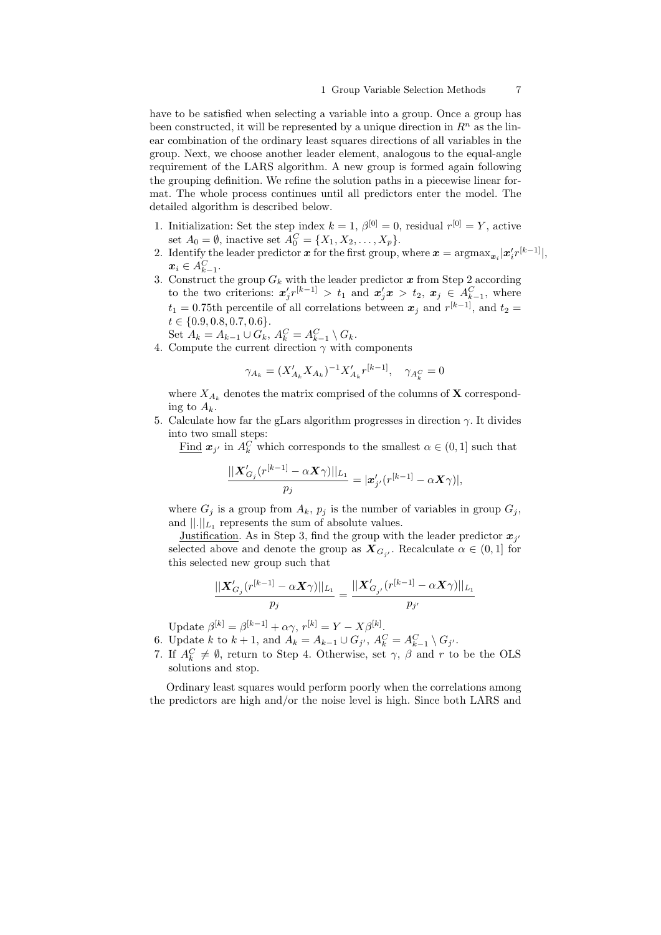have to be satisfied when selecting a variable into a group. Once a group has been constructed, it will be represented by a unique direction in  $\mathbb{R}^n$  as the linear combination of the ordinary least squares directions of all variables in the group. Next, we choose another leader element, analogous to the equal-angle requirement of the LARS algorithm. A new group is formed again following the grouping definition. We refine the solution paths in a piecewise linear format. The whole process continues until all predictors enter the model. The detailed algorithm is described below.

- 1. Initialization: Set the step index  $k = 1$ ,  $\beta^{[0]} = 0$ , residual  $r^{[0]} = Y$ , active set  $A_0 = \emptyset$ , inactive set  $A_0^C = \{X_1, X_2, \dots, X_p\}.$
- 2. Identify the leader predictor x for the first group, where  $x = \operatorname{argmax}_{x_i} |x'_i r^{[k-1]}|$ ,  $x_i \in A_{k-1}^C$ .
- 3. Construct the group  $G_k$  with the leader predictor  $x$  from Step 2 according to the two criterions:  $\mathbf{x}'_j r^{[k-1]} > t_1$  and  $\mathbf{x}'_j \mathbf{x} > t_2, \mathbf{x}_j \in A_{k-1}^C$ , where  $t_1 = 0.75$ th percentile of all correlations between  $x_j$  and  $r^{[k-1]}$ , and  $t_2 =$  $t \in \{0.9, 0.8, 0.7, 0.6\}.$

Set 
$$
A_k = A_{k-1} \cup G_k
$$
,  $A_k^C = A_{k-1}^C \setminus G_k$ .

4. Compute the current direction  $\gamma$  with components

$$
\gamma_{A_k} = (X'_{A_k} X_{A_k})^{-1} X'_{A_k} r^{[k-1]}, \quad \gamma_{A_k^C} = 0
$$

where  $X_{A_k}$  denotes the matrix comprised of the columns of **X** corresponding to  $A_k$ .

5. Calculate how far the gLars algorithm progresses in direction  $\gamma$ . It divides into two small steps:

Find  $\mathbf{x}_{j'}$  in  $A_k^C$  which corresponds to the smallest  $\alpha \in (0,1]$  such that

$$
\frac{||\boldsymbol{X}^{\prime}_{G_j}(r^{[k-1]}-\alpha\boldsymbol{X}\gamma)||_{L_1}}{p_j}=|\boldsymbol{x}^{\prime}_{j^\prime}(r^{[k-1]}-\alpha\boldsymbol{X}\gamma)|,
$$

where  $G_j$  is a group from  $A_k$ ,  $p_j$  is the number of variables in group  $G_j$ , and  $\|\cdot\|_{L_1}$  represents the sum of absolute values.

<u>Justification</u>. As in Step 3, find the group with the leader predictor  $x_{j'}$ selected above and denote the group as  $\boldsymbol{X}_{G_{j'}}$ . Recalculate  $\alpha \in (0,1]$  for this selected new group such that

$$
\frac{||\boldsymbol{X}_{G_j}'(r^{[k-1]} - \alpha \boldsymbol{X} \gamma)||_{L_1}}{p_j} = \frac{||\boldsymbol{X}_{G_{j'}}'(r^{[k-1]} - \alpha \boldsymbol{X} \gamma)||_{L_1}}{p_{j'}}
$$

Update  $\beta^{[k]} = \beta^{[k-1]} + \alpha \gamma, r^{[k]} = Y - X \beta^{[k]}.$ 

- 6. Update k to  $k + 1$ , and  $A_k = A_{k-1} \cup G_{j'}$ ,  $A_k^C = A_{k-1}^C \setminus G_{j'}$ .
- 7. If  $A_k^C \neq \emptyset$ , return to Step 4. Otherwise, set  $\gamma$ ,  $\beta$  and r to be the OLS solutions and stop.

Ordinary least squares would perform poorly when the correlations among the predictors are high and/or the noise level is high. Since both LARS and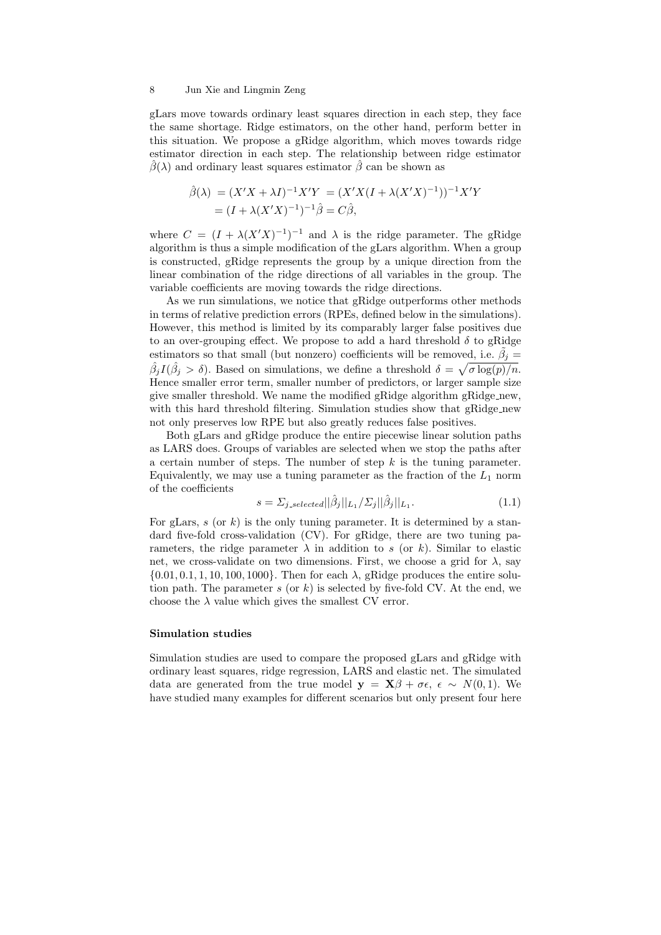gLars move towards ordinary least squares direction in each step, they face the same shortage. Ridge estimators, on the other hand, perform better in this situation. We propose a gRidge algorithm, which moves towards ridge estimator direction in each step. The relationship between ridge estimator  $\hat{\beta}(\lambda)$  and ordinary least squares estimator  $\hat{\beta}$  can be shown as

$$
\hat{\beta}(\lambda) = (X'X + \lambda I)^{-1}X'Y = (X'X(I + \lambda(X'X)^{-1}))^{-1}X'Y = (I + \lambda(X'X)^{-1})^{-1}\hat{\beta} = C\hat{\beta},
$$

where  $C = (I + \lambda(X'X)^{-1})^{-1}$  and  $\lambda$  is the ridge parameter. The gRidge algorithm is thus a simple modification of the gLars algorithm. When a group is constructed, gRidge represents the group by a unique direction from the linear combination of the ridge directions of all variables in the group. The variable coefficients are moving towards the ridge directions.

As we run simulations, we notice that gRidge outperforms other methods in terms of relative prediction errors (RPEs, defined below in the simulations). However, this method is limited by its comparably larger false positives due to an over-grouping effect. We propose to add a hard threshold  $\delta$  to gRidge estimators so that small (but nonzero) coefficients will be removed, i.e.  $\tilde{\beta}_j = \hat{\beta}_j$  $\hat{\beta}_j I(\hat{\beta}_j > \delta)$ . Based on simulations, we define a threshold  $\delta = \sqrt{\sigma \log(p)/n}$ . Hence smaller error term, smaller number of predictors, or larger sample size give smaller threshold. We name the modified gRidge algorithm gRidge new, with this hard threshold filtering. Simulation studies show that gRidge\_new not only preserves low RPE but also greatly reduces false positives.

Both gLars and gRidge produce the entire piecewise linear solution paths as LARS does. Groups of variables are selected when we stop the paths after a certain number of steps. The number of step  $k$  is the tuning parameter. Equivalently, we may use a tuning parameter as the fraction of the  $L_1$  norm of the coefficients

$$
s = \sum_{j, selected} ||\hat{\beta}_j||_{L_1} / \sum_j ||\hat{\beta}_j||_{L_1}.
$$
\n(1.1)

For gLars,  $s$  (or  $k$ ) is the only tuning parameter. It is determined by a standard five-fold cross-validation (CV). For gRidge, there are two tuning parameters, the ridge parameter  $\lambda$  in addition to s (or k). Similar to elastic net, we cross-validate on two dimensions. First, we choose a grid for  $\lambda$ , say  $\{0.01, 0.1, 1, 10, 100, 1000\}$ . Then for each  $\lambda$ , gRidge produces the entire solution path. The parameter  $s$  (or  $k$ ) is selected by five-fold CV. At the end, we choose the  $\lambda$  value which gives the smallest CV error.

#### Simulation studies

Simulation studies are used to compare the proposed gLars and gRidge with ordinary least squares, ridge regression, LARS and elastic net. The simulated data are generated from the true model  $y = X\beta + \sigma \epsilon$ ,  $\epsilon \sim N(0, 1)$ . We have studied many examples for different scenarios but only present four here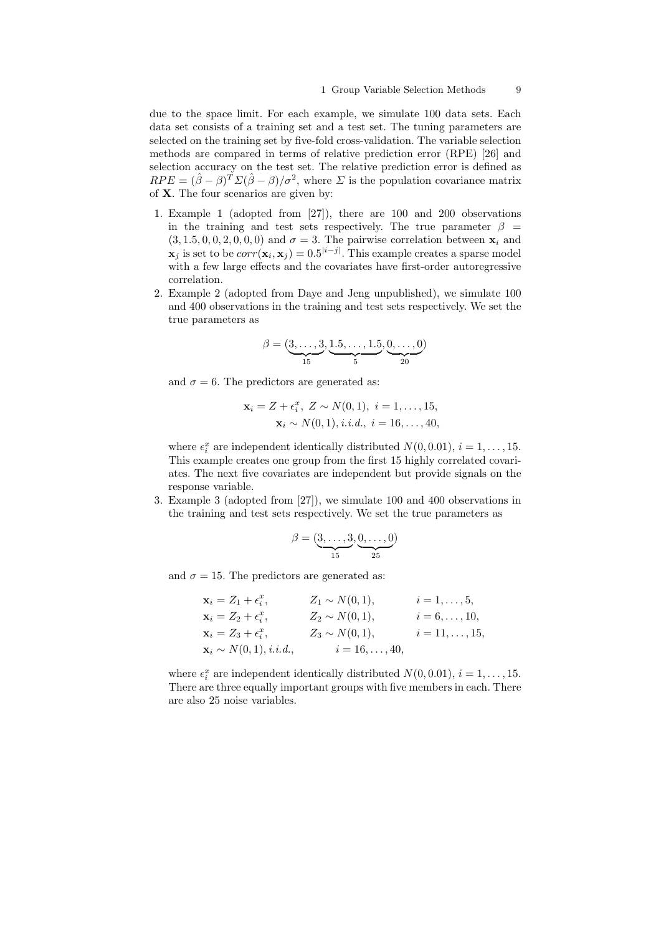due to the space limit. For each example, we simulate 100 data sets. Each data set consists of a training set and a test set. The tuning parameters are selected on the training set by five-fold cross-validation. The variable selection methods are compared in terms of relative prediction error (RPE) [26] and selection accuracy on the test set. The relative prediction error is defined as  $RPE = (\hat{\beta} - \beta)^T \Sigma (\hat{\beta} - \beta)/\sigma^2$ , where  $\Sigma$  is the population covariance matrix of X. The four scenarios are given by:

- 1. Example 1 (adopted from [27]), there are 100 and 200 observations in the training and test sets respectively. The true parameter  $\beta =$  $(3, 1.5, 0, 0, 2, 0, 0, 0)$  and  $\sigma = 3$ . The pairwise correlation between  $\mathbf{x}_i$  and  $\mathbf{x}_j$  is set to be  $corr(\mathbf{x}_i, \mathbf{x}_j) = 0.5^{|i-j|}$ . This example creates a sparse model with a few large effects and the covariates have first-order autoregressive correlation.
- 2. Example 2 (adopted from Daye and Jeng unpublished), we simulate 100 and 400 observations in the training and test sets respectively. We set the true parameters as

$$
\beta = (\underbrace{3, \dots, 3}_{15}, \underbrace{1.5, \dots, 1.5}_{5}, \underbrace{0, \dots, 0}_{20})
$$

and  $\sigma = 6$ . The predictors are generated as:

$$
\mathbf{x}_{i} = Z + \epsilon_{i}^{x}, Z \sim N(0, 1), i = 1, ..., 15,
$$
  

$$
\mathbf{x}_{i} \sim N(0, 1), i.i.d., i = 16, ..., 40,
$$

where  $\epsilon_i^x$  are independent identically distributed  $N(0, 0.01)$ ,  $i = 1, ..., 15$ . This example creates one group from the first 15 highly correlated covariates. The next five covariates are independent but provide signals on the response variable.

3. Example 3 (adopted from [27]), we simulate 100 and 400 observations in the training and test sets respectively. We set the true parameters as

$$
\beta = (\underbrace{3,\ldots,3}_{15}, \underbrace{0,\ldots,0}_{25})
$$

and  $\sigma = 15$ . The predictors are generated as:

$$
\mathbf{x}_{i} = Z_{1} + \epsilon_{i}^{x}, \qquad Z_{1} \sim N(0, 1), \qquad i = 1, ..., 5, \n\mathbf{x}_{i} = Z_{2} + \epsilon_{i}^{x}, \qquad Z_{2} \sim N(0, 1), \qquad i = 6, ..., 10, \n\mathbf{x}_{i} = Z_{3} + \epsilon_{i}^{x}, \qquad Z_{3} \sim N(0, 1), \qquad i = 11, ..., 15, \n\mathbf{x}_{i} \sim N(0, 1), i.i.d., \qquad i = 16, ..., 40,
$$

where  $\epsilon_i^x$  are independent identically distributed  $N(0, 0.01)$ ,  $i = 1, ..., 15$ . There are three equally important groups with five members in each. There are also 25 noise variables.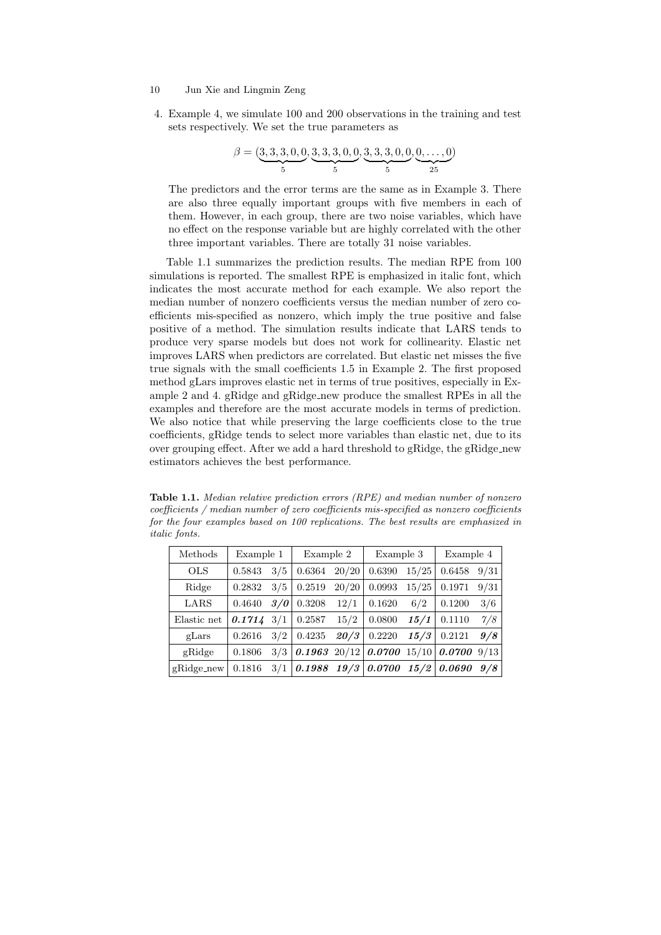4. Example 4, we simulate 100 and 200 observations in the training and test sets respectively. We set the true parameters as

$$
\beta=(\underbrace{3,3,3,0,0}_{5},\underbrace{3,3,3,0,0}_{5},\underbrace{3,3,3,0,0}_{5},\underbrace{0,\dots,0}_{25})
$$

The predictors and the error terms are the same as in Example 3. There are also three equally important groups with five members in each of them. However, in each group, there are two noise variables, which have no effect on the response variable but are highly correlated with the other three important variables. There are totally 31 noise variables.

Table 1.1 summarizes the prediction results. The median RPE from 100 simulations is reported. The smallest RPE is emphasized in italic font, which indicates the most accurate method for each example. We also report the median number of nonzero coefficients versus the median number of zero coefficients mis-specified as nonzero, which imply the true positive and false positive of a method. The simulation results indicate that LARS tends to produce very sparse models but does not work for collinearity. Elastic net improves LARS when predictors are correlated. But elastic net misses the five true signals with the small coefficients 1.5 in Example 2. The first proposed method gLars improves elastic net in terms of true positives, especially in Example 2 and 4. gRidge and gRidge new produce the smallest RPEs in all the examples and therefore are the most accurate models in terms of prediction. We also notice that while preserving the large coefficients close to the true coefficients, gRidge tends to select more variables than elastic net, due to its over grouping effect. After we add a hard threshold to gRidge, the gRidge new estimators achieves the best performance.

Table 1.1. Median relative prediction errors (RPE) and median number of nonzero coefficients / median number of zero coefficients mis-specified as nonzero coefficients for the four examples based on 100 replications. The best results are emphasized in italic fonts.

| Methods     | Example 1 |     | Example 2      |       | Example 3 |       | Example 4 |      |
|-------------|-----------|-----|----------------|-------|-----------|-------|-----------|------|
| <b>OLS</b>  | 0.5843    | 3/5 | 0.6364         | 20/20 | 0.6390    | 15/25 | 0.6458    | 9/31 |
| Ridge       | 0.2832    | 3/5 | 0.2519         | 20/20 | 0.0993    | 15/25 | 0.1971    | 9/31 |
| LARS        | 0.4640    | 3/0 | 0.3208         | 12/1  | 0.1620    | 6/2   | 0.1200    | 3/6  |
| Elastic net | 0.1714    | 3/1 | 0.2587         | 15/2  | 0.0800    | 15/1  | 0.1110    | 7/8  |
| gLars       | 0.2616    | 3/2 | 0.4235         | 20/3  | 0.2220    | 15/3  | 0.2121    | 9/8  |
| gRidge      | 0.1806    | 3/3 | $0.1963$ 20/12 |       | 0.0700    | 15/10 | 0.0700    | 9/13 |
| gRidge_new  | 0.1816    | 3/1 | 0.1988         | 19/3  | 0.0700    | 15/2  | 0.0690    | 9/8  |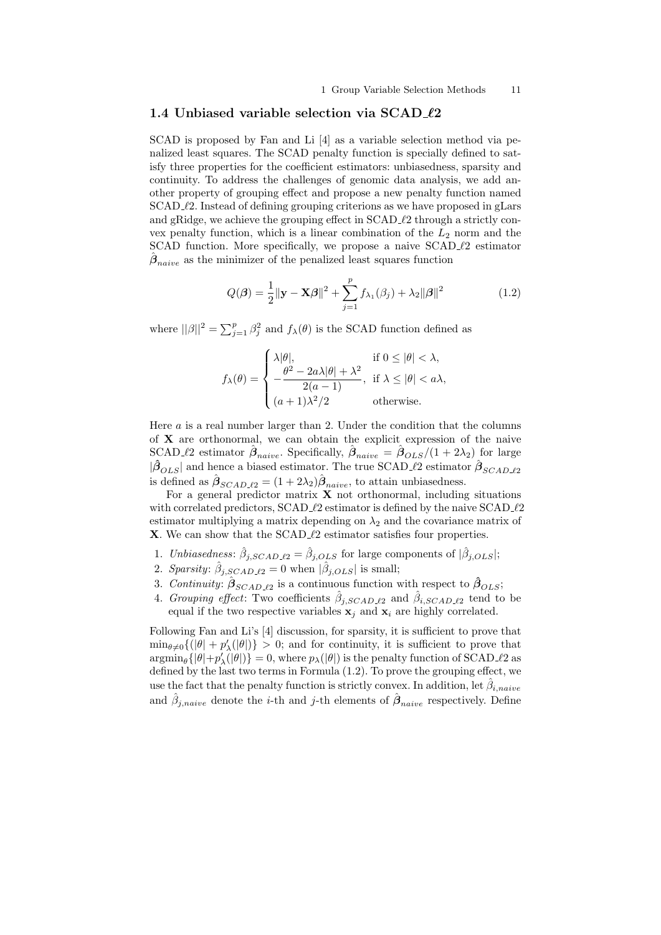# 1.4 Unbiased variable selection via  $SCAD\_2$

SCAD is proposed by Fan and Li [4] as a variable selection method via penalized least squares. The SCAD penalty function is specially defined to satisfy three properties for the coefficient estimators: unbiasedness, sparsity and continuity. To address the challenges of genomic data analysis, we add another property of grouping effect and propose a new penalty function named  $SCAD _2$ . Instead of defining grouping criterions as we have proposed in gLars and gRidge, we achieve the grouping effect in  $SCAD\_l2$  through a strictly convex penalty function, which is a linear combination of the  $L_2$  norm and the SCAD function. More specifically, we propose a naive  $SCAD\_2$  estimator  $\hat{\beta}_{naive}$  as the minimizer of the penalized least squares function

$$
Q(\boldsymbol{\beta}) = \frac{1}{2} ||\mathbf{y} - \mathbf{X}\boldsymbol{\beta}||^2 + \sum_{j=1}^{p} f_{\lambda_1}(\beta_j) + \lambda_2 ||\boldsymbol{\beta}||^2
$$
 (1.2)

where  $||\beta||^2 = \sum_{j=1}^p \beta_j^2$  and  $f_{\lambda}(\theta)$  is the SCAD function defined as

$$
f_{\lambda}(\theta) = \begin{cases} \lambda|\theta|, & \text{if } 0 \le |\theta| < \lambda, \\ -\frac{\theta^2 - 2a\lambda|\theta| + \lambda^2}{2(a-1)}, & \text{if } \lambda \le |\theta| < a\lambda, \\ (a+1)\lambda^2/2 & \text{otherwise.} \end{cases}
$$

Here  $a$  is a real number larger than 2. Under the condition that the columns of X are orthonormal, we can obtain the explicit expression of the naive SCAD  $\ell 2$  estimator  $\hat{\beta}_{naive}$ . Specifically,  $\hat{\beta}_{naive} = \hat{\beta}_{OLS}/(1+2\lambda_2)$  for large  $|\hat{\beta}_{OLS}|$  and hence a biased estimator. The true SCAD  $\ell$ 2 estimator  $\hat{\beta}_{SCAD\_l2}$ is defined as  $\hat{\beta}_{SCAD\_{\ell 2} = (1 + 2\lambda_2)\hat{\beta}_{naive}$ , to attain unbiasedness.

For a general predictor matrix  $\overline{X}$  not orthonormal, including situations with correlated predictors,  $SCAD \ell 2$  estimator is defined by the naive  $SCAD \ell 2$ estimator multiplying a matrix depending on  $\lambda_2$  and the covariance matrix of  $X$ . We can show that the SCAD  $\ell$ 2 estimator satisfies four properties.

- 1. Unbiasedness:  $\hat{\beta}_{j,SCAD \,\ell2} = \hat{\beta}_{j,OLS}$  for large components of  $|\hat{\beta}_{j,OLS}|$ ;
- 2. Sparsity:  $\hat{\beta}_{j,SCAD \text{I2}} = 0$  when  $|\hat{\beta}_{j,OLS}|$  is small;
- 3. Continuity:  $\hat{\beta}_{SCAD\_l2}$  is a continuous function with respect to  $\hat{\beta}_{OLS}$ ;
- 4. Grouping effect: Two coefficients  $\hat{\beta}_{j,SCAD \text{L2}}$  and  $\hat{\beta}_{i,SCAD \text{L2}}$  tend to be equal if the two respective variables  $x_j$  and  $x_i$  are highly correlated.

Following Fan and Li's [4] discussion, for sparsity, it is sufficient to prove that  $\min_{\theta \neq 0} \{ (|\theta| + p'_{\lambda}(|\theta|) \} > 0;$  and for continuity, it is sufficient to prove that  $\operatorname{argmin}_{\theta} \{ |\theta| + p'_{\lambda}(|\theta|) \} = 0$ , where  $p_{\lambda}(|\theta|)$  is the penalty function of SCAD  $\ell 2$  as defined by the last two terms in Formula (1.2). To prove the grouping effect, we use the fact that the penalty function is strictly convex. In addition, let  $\hat{\beta}_{i,native}$ and  $\hat{\beta}_{j,naive}$  denote the *i*-th and *j*-th elements of  $\hat{\beta}_{naive}$  respectively. Define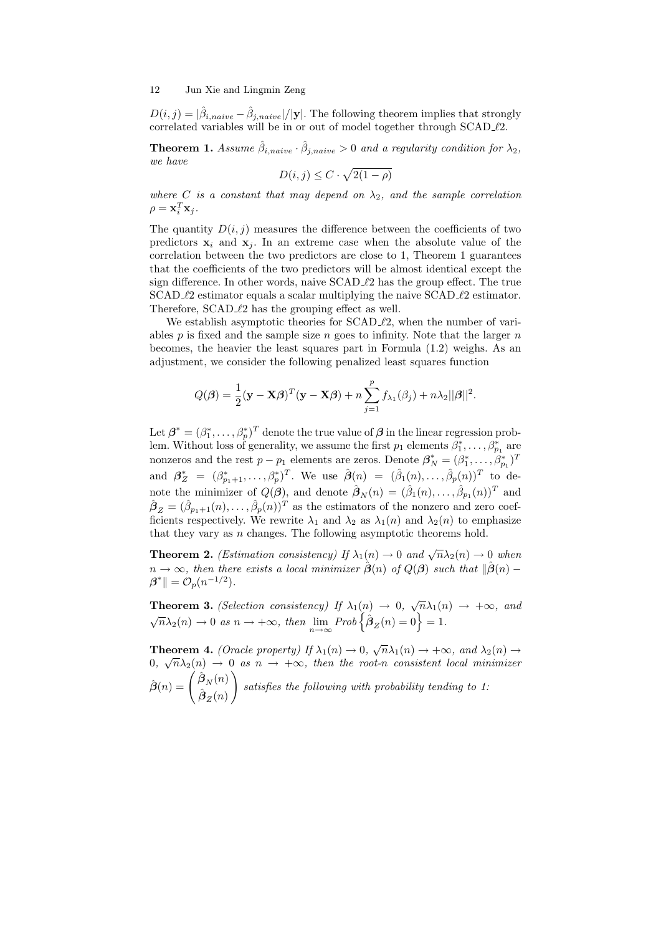$D(i, j) = |\hat{\beta}_{i,naive} - \hat{\beta}_{j,naive}|/|\mathbf{y}|$ . The following theorem implies that strongly correlated variables will be in or out of model together through  $SCAD\_2$ .

**Theorem 1.** Assume  $\hat{\beta}_{i,naive} \cdot \hat{\beta}_{j,naive} > 0$  and a regularity condition for  $\lambda_2$ , we have p

$$
D(i,j) \le C \cdot \sqrt{2(1-\rho)}
$$

where C is a constant that may depend on  $\lambda_2$ , and the sample correlation  $\rho = \mathbf{x}_i^T \mathbf{x}_j$ .

The quantity  $D(i, j)$  measures the difference between the coefficients of two predictors  $x_i$  and  $x_j$ . In an extreme case when the absolute value of the correlation between the two predictors are close to 1, Theorem 1 guarantees that the coefficients of the two predictors will be almost identical except the sign difference. In other words, naive  $SCAD\_2$  has the group effect. The true  $SCAD \ell 2$  estimator equals a scalar multiplying the naive  $SCAD \ell 2$  estimator. Therefore,  $SCAD\_l2$  has the grouping effect as well.

We establish asymptotic theories for  $SCADL2$ , when the number of variables p is fixed and the sample size n goes to infinity. Note that the larger  $n$ becomes, the heavier the least squares part in Formula (1.2) weighs. As an adjustment, we consider the following penalized least squares function

$$
Q(\boldsymbol{\beta}) = \frac{1}{2}(\mathbf{y} - \mathbf{X}\boldsymbol{\beta})^T(\mathbf{y} - \mathbf{X}\boldsymbol{\beta}) + n\sum_{j=1}^p f_{\lambda_1}(\beta_j) + n\lambda_2||\boldsymbol{\beta}||^2.
$$

Let  $\beta^* = (\beta_1^*, \ldots, \beta_p^*)^T$  denote the true value of  $\beta$  in the linear regression problem. Without loss of generality, we assume the first  $p_1$  elements  $\beta_1^*, \ldots, \beta_{p_1}^*$  are nonzeros and the rest  $p - p_1$  elements are zeros. Denote  $\beta_N^* = (\beta_1^*, \ldots, \beta_{p_1}^*)^T$ and  $\beta_Z^* = (\beta_{p_1+1}^*, \ldots, \beta_p^*)^T$ . We use  $\hat{\beta}(n) = (\hat{\beta}_1(n), \ldots, \hat{\beta}_p(n))^T$  to denote the minimizer of  $Q(\boldsymbol{\beta})$ , and denote  $\hat{\boldsymbol{\beta}}_N(n) = (\hat{\beta}_1(n), \dots, \hat{\beta}_{p_1}(n))^T$  and  $\hat{\beta}_Z=(\hat{\beta}_{p_1+1}(n),\ldots,\hat{\beta}_p(n))^T$  as the estimators of the nonzero and zero coefficients respectively. We rewrite  $\lambda_1$  and  $\lambda_2$  as  $\lambda_1(n)$  and  $\lambda_2(n)$  to emphasize that they vary as  $n$  changes. The following asymptotic theorems hold.

**Theorem 2.** (Estimation consistency) If  $\lambda_1(n) \to 0$  and  $\sqrt{n}\lambda_2(n) \to 0$  when  $n \to \infty$ , then there exists a local minimizer  $\hat{\boldsymbol{\beta}}(n)$  of  $Q(\boldsymbol{\beta})$  such that  $\|\hat{\boldsymbol{\beta}}(n) \beta^*$ || =  $\mathcal{O}_p(n^{-1/2})$ .

**Theorem 3.** (Selection consistency) If  $\lambda_1(n) \to 0$ ,  $\sqrt{n}\lambda_1(n) \to +\infty$ , and **Theorem 3.** (*Selection consistency*) If  $\lambda_1(n) \to 0$ ,  $\sqrt{n} \lambda_1(n)$ <br>  $\sqrt{n} \lambda_2(n) \to 0$  as  $n \to +\infty$ , then  $\lim_{n \to \infty} Prob\left\{\hat{\beta}_Z(n) = 0\right\} = 1$ .

**Theorem 4.** (Oracle property) If  $\lambda_1(n) \to 0$ ,  $\sqrt{n}\lambda_1(n) \to +\infty$ , and  $\lambda_2(n) \to \infty$  $(0, \sqrt{n}\lambda_2(n) \rightarrow 0$  as  $n \rightarrow +\infty$ , then the root-n consistent local minimizer  $\hat{\boldsymbol{\beta}}(n) = \begin{pmatrix} \hat{\boldsymbol{\beta}}_N(n) \ \hat{\boldsymbol{\beta}}_N(n) \end{pmatrix}$  $\hat{\boldsymbol{\beta}}_Z(n)$ satisfies the following with probability tending to 1: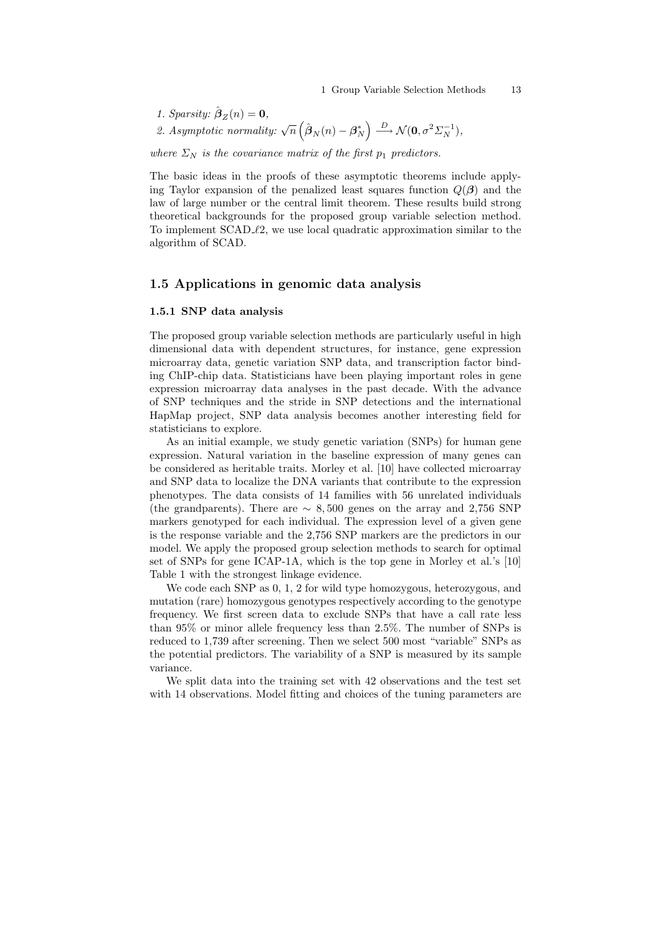1. Sparsity: 
$$
\hat{\boldsymbol{\beta}}_Z(n) = \mathbf{0}
$$
,  
2. Asymptotic normality:  $\sqrt{n} \left( \hat{\boldsymbol{\beta}}_N(n) - \boldsymbol{\beta}_N^* \right) \xrightarrow{D} \mathcal{N}(\mathbf{0}, \sigma^2 \Sigma_N^{-1}),$ 

where  $\Sigma_N$  is the covariance matrix of the first  $p_1$  predictors.

The basic ideas in the proofs of these asymptotic theorems include applying Taylor expansion of the penalized least squares function  $Q(\boldsymbol{\beta})$  and the law of large number or the central limit theorem. These results build strong theoretical backgrounds for the proposed group variable selection method. To implement  $SCADL2$ , we use local quadratic approximation similar to the algorithm of SCAD.

## 1.5 Applications in genomic data analysis

#### 1.5.1 SNP data analysis

The proposed group variable selection methods are particularly useful in high dimensional data with dependent structures, for instance, gene expression microarray data, genetic variation SNP data, and transcription factor binding ChIP-chip data. Statisticians have been playing important roles in gene expression microarray data analyses in the past decade. With the advance of SNP techniques and the stride in SNP detections and the international HapMap project, SNP data analysis becomes another interesting field for statisticians to explore.

As an initial example, we study genetic variation (SNPs) for human gene expression. Natural variation in the baseline expression of many genes can be considered as heritable traits. Morley et al. [10] have collected microarray and SNP data to localize the DNA variants that contribute to the expression phenotypes. The data consists of 14 families with 56 unrelated individuals (the grandparents). There are  $\sim 8,500$  genes on the array and 2,756 SNP markers genotyped for each individual. The expression level of a given gene is the response variable and the 2,756 SNP markers are the predictors in our model. We apply the proposed group selection methods to search for optimal set of SNPs for gene ICAP-1A, which is the top gene in Morley et al.'s [10] Table 1 with the strongest linkage evidence.

We code each SNP as 0, 1, 2 for wild type homozygous, heterozygous, and mutation (rare) homozygous genotypes respectively according to the genotype frequency. We first screen data to exclude SNPs that have a call rate less than 95% or minor allele frequency less than 2.5%. The number of SNPs is reduced to 1,739 after screening. Then we select 500 most "variable" SNPs as the potential predictors. The variability of a SNP is measured by its sample variance.

We split data into the training set with 42 observations and the test set with 14 observations. Model fitting and choices of the tuning parameters are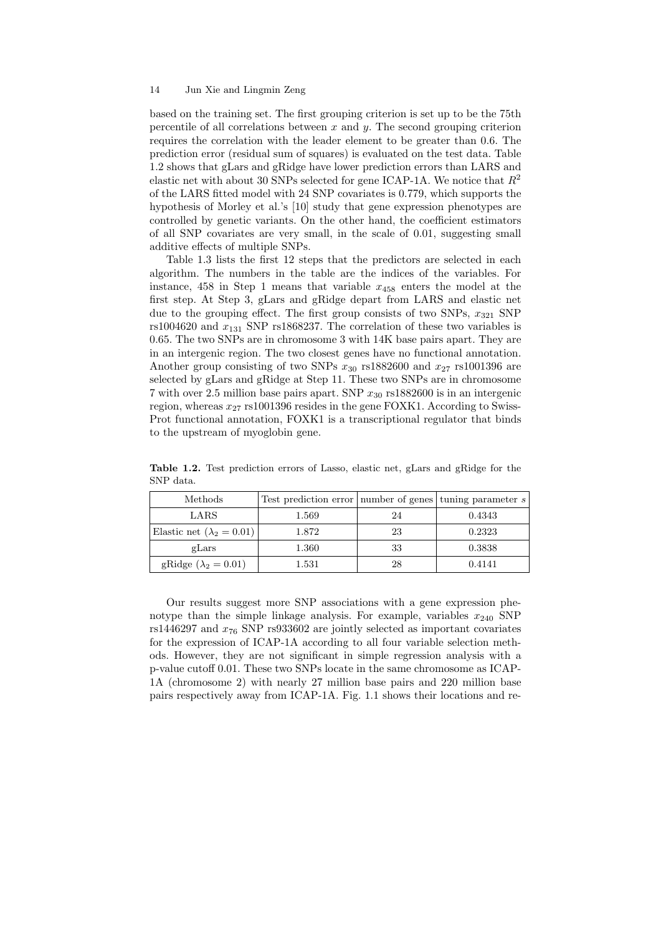based on the training set. The first grouping criterion is set up to be the 75th percentile of all correlations between  $x$  and  $y$ . The second grouping criterion requires the correlation with the leader element to be greater than 0.6. The prediction error (residual sum of squares) is evaluated on the test data. Table 1.2 shows that gLars and gRidge have lower prediction errors than LARS and elastic net with about 30 SNPs selected for gene ICAP-1A. We notice that  $R^2$ of the LARS fitted model with 24 SNP covariates is 0.779, which supports the hypothesis of Morley et al.'s [10] study that gene expression phenotypes are controlled by genetic variants. On the other hand, the coefficient estimators of all SNP covariates are very small, in the scale of 0.01, suggesting small additive effects of multiple SNPs.

Table 1.3 lists the first 12 steps that the predictors are selected in each algorithm. The numbers in the table are the indices of the variables. For instance, 458 in Step 1 means that variable  $x_{458}$  enters the model at the first step. At Step 3, gLars and gRidge depart from LARS and elastic net due to the grouping effect. The first group consists of two SNPs,  $x_{321}$  SNP rs1004620 and  $x_{131}$  SNP rs1868237. The correlation of these two variables is 0.65. The two SNPs are in chromosome 3 with 14K base pairs apart. They are in an intergenic region. The two closest genes have no functional annotation. Another group consisting of two SNPs  $x_{30}$  rs1882600 and  $x_{27}$  rs1001396 are selected by gLars and gRidge at Step 11. These two SNPs are in chromosome 7 with over 2.5 million base pairs apart. SNP  $x_{30}$  rs1882600 is in an intergenic region, whereas  $x_{27}$  rs1001396 resides in the gene FOXK1. According to Swiss-Prot functional annotation, FOXK1 is a transcriptional regulator that binds to the upstream of myoglobin gene.

| Methods                          | Test prediction error number of genes tuning parameter $s$ |    |        |
|----------------------------------|------------------------------------------------------------|----|--------|
| LARS                             | 1.569                                                      | 24 | 0.4343 |
| Elastic net $(\lambda_2 = 0.01)$ | 1.872                                                      | 23 | 0.2323 |
| gLars                            | 1.360                                                      | 33 | 0.3838 |
| gRidge ( $\lambda_2 = 0.01$ )    | 1.531                                                      | 28 | 0.4141 |

Table 1.2. Test prediction errors of Lasso, elastic net, gLars and gRidge for the SNP data.

Our results suggest more SNP associations with a gene expression phenotype than the simple linkage analysis. For example, variables  $x_{240}$  SNP rs1446297 and  $x_{76}$  SNP rs933602 are jointly selected as important covariates for the expression of ICAP-1A according to all four variable selection methods. However, they are not significant in simple regression analysis with a p-value cutoff 0.01. These two SNPs locate in the same chromosome as ICAP-1A (chromosome 2) with nearly 27 million base pairs and 220 million base pairs respectively away from ICAP-1A. Fig. 1.1 shows their locations and re-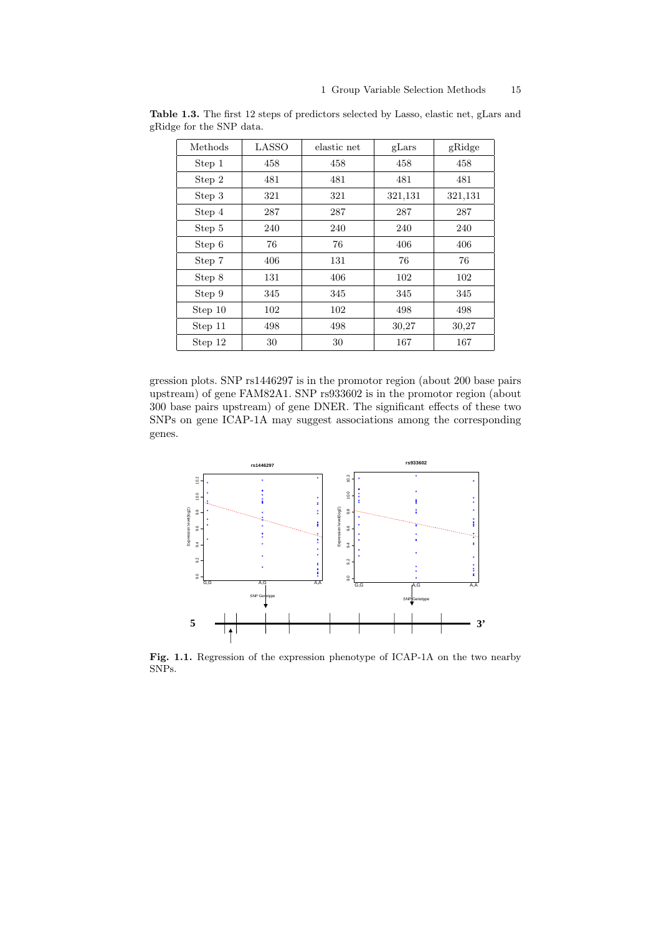| Methods | LASSO | elastic net | gLars   | gRidge  |
|---------|-------|-------------|---------|---------|
| Step 1  | 458   | 458         | 458     | 458     |
| Step 2  | 481   | 481         | 481     | 481     |
| Step 3  | 321   | 321         | 321,131 | 321,131 |
| Step 4  | 287   | 287         | 287     | 287     |
| Step 5  | 240   | 240         | 240     | 240     |
| Step 6  | 76    | 76          | 406     | 406     |
| Step 7  | 406   | 131         | 76      | 76      |
| Step 8  | 131   | 406         | 102     | 102     |
| Step 9  | 345   | 345         | 345     | 345     |
| Step 10 | 102   | 102         | 498     | 498     |
| Step 11 | 498   | 498         | 30,27   | 30,27   |
| Step 12 | 30    | 30          | 167     | 167     |

Table 1.3. The first 12 steps of predictors selected by Lasso, elastic net, gLars and gRidge for the SNP data.

gression plots. SNP rs1446297 is in the promotor region (about 200 base pairs upstream) of gene FAM82A1. SNP rs933602 is in the promotor region (about 300 base pairs upstream) of gene DNER. The significant effects of these two SNPs on gene ICAP-1A may suggest associations among the corresponding genes.



Fig. 1.1. Regression of the expression phenotype of ICAP-1A on the two nearby SNPs.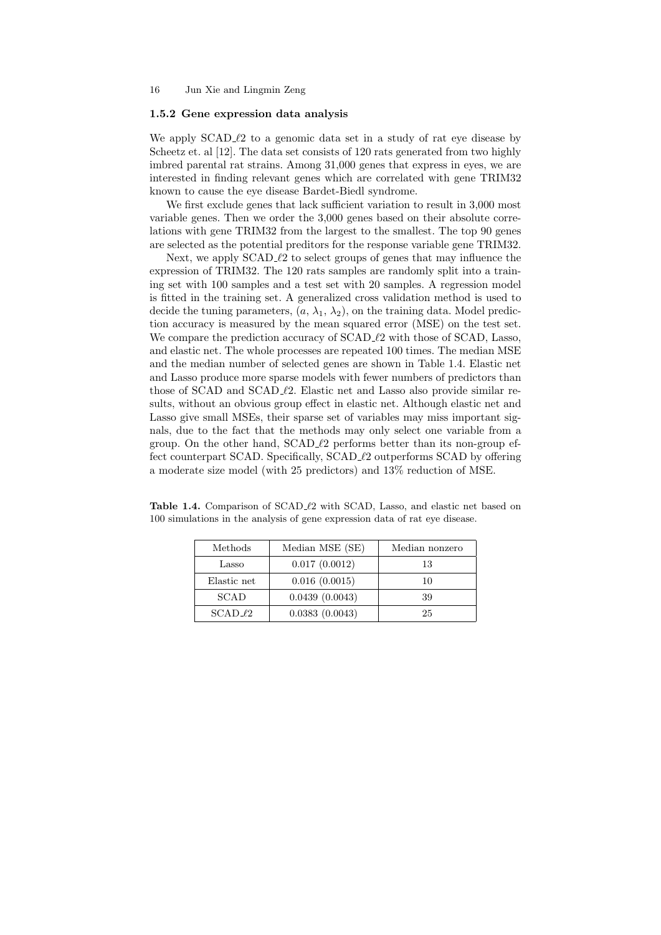#### 1.5.2 Gene expression data analysis

We apply  $SCAD \ell 2$  to a genomic data set in a study of rat eye disease by Scheetz et. al [12]. The data set consists of 120 rats generated from two highly imbred parental rat strains. Among 31,000 genes that express in eyes, we are interested in finding relevant genes which are correlated with gene TRIM32 known to cause the eye disease Bardet-Biedl syndrome.

We first exclude genes that lack sufficient variation to result in 3,000 most variable genes. Then we order the 3,000 genes based on their absolute correlations with gene TRIM32 from the largest to the smallest. The top 90 genes are selected as the potential preditors for the response variable gene TRIM32.

Next, we apply  $SCAD\_2$  to select groups of genes that may influence the expression of TRIM32. The 120 rats samples are randomly split into a training set with 100 samples and a test set with 20 samples. A regression model is fitted in the training set. A generalized cross validation method is used to decide the tuning parameters,  $(a, \lambda_1, \lambda_2)$ , on the training data. Model prediction accuracy is measured by the mean squared error (MSE) on the test set. We compare the prediction accuracy of  $SCAD\_l2$  with those of  $SCAD$ , Lasso, and elastic net. The whole processes are repeated 100 times. The median MSE and the median number of selected genes are shown in Table 1.4. Elastic net and Lasso produce more sparse models with fewer numbers of predictors than those of SCAD and SCAD $\ell$ 2. Elastic net and Lasso also provide similar results, without an obvious group effect in elastic net. Although elastic net and Lasso give small MSEs, their sparse set of variables may miss important signals, due to the fact that the methods may only select one variable from a group. On the other hand,  $SCAD\_l2$  performs better than its non-group effect counterpart SCAD. Specifically,  $SCAD \& 2$  outperforms  $SCAD$  by offering a moderate size model (with 25 predictors) and 13% reduction of MSE.

Table 1.4. Comparison of  $SCAD\ell2$  with SCAD, Lasso, and elastic net based on 100 simulations in the analysis of gene expression data of rat eye disease.

| Methods     | Median MSE (SE) | Median nonzero |
|-------------|-----------------|----------------|
| Lasso       | 0.017(0.0012)   | 13             |
| Elastic net | 0.016(0.0015)   | 10             |
| <b>SCAD</b> | 0.0439(0.0043)  | 39             |
| $SCAD\_2$   | 0.0383(0.0043)  | 25             |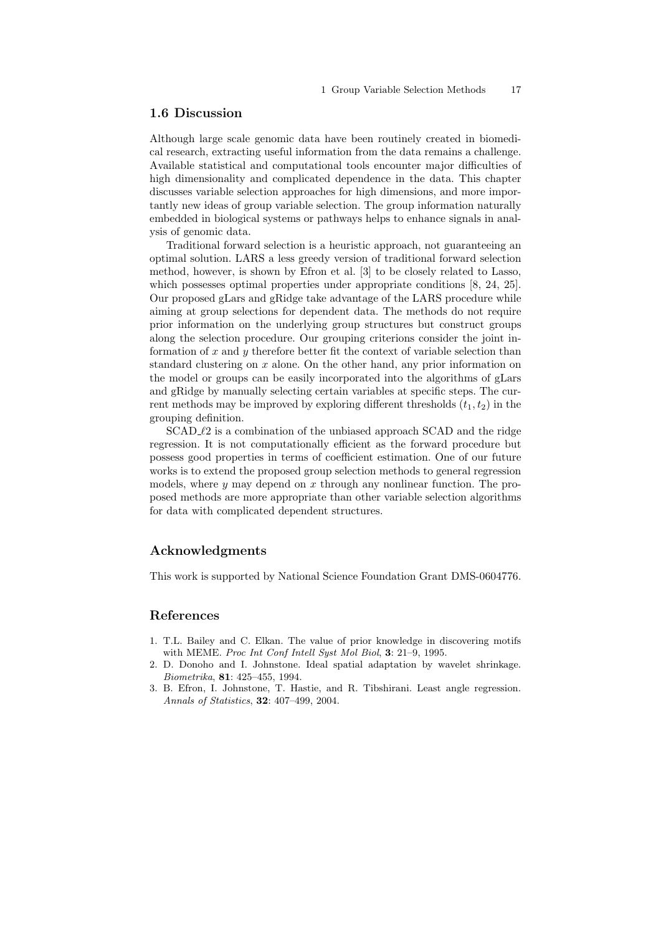## 1.6 Discussion

Although large scale genomic data have been routinely created in biomedical research, extracting useful information from the data remains a challenge. Available statistical and computational tools encounter major difficulties of high dimensionality and complicated dependence in the data. This chapter discusses variable selection approaches for high dimensions, and more importantly new ideas of group variable selection. The group information naturally embedded in biological systems or pathways helps to enhance signals in analysis of genomic data.

Traditional forward selection is a heuristic approach, not guaranteeing an optimal solution. LARS a less greedy version of traditional forward selection method, however, is shown by Efron et al. [3] to be closely related to Lasso, which possesses optimal properties under appropriate conditions [8, 24, 25]. Our proposed gLars and gRidge take advantage of the LARS procedure while aiming at group selections for dependent data. The methods do not require prior information on the underlying group structures but construct groups along the selection procedure. Our grouping criterions consider the joint information of  $x$  and  $y$  therefore better fit the context of variable selection than standard clustering on  $x$  alone. On the other hand, any prior information on the model or groups can be easily incorporated into the algorithms of gLars and gRidge by manually selecting certain variables at specific steps. The current methods may be improved by exploring different thresholds  $(t_1, t_2)$  in the grouping definition.

 $SCADL2$  is a combination of the unbiased approach  $SCAD$  and the ridge regression. It is not computationally efficient as the forward procedure but possess good properties in terms of coefficient estimation. One of our future works is to extend the proposed group selection methods to general regression models, where  $y$  may depend on  $x$  through any nonlinear function. The proposed methods are more appropriate than other variable selection algorithms for data with complicated dependent structures.

## Acknowledgments

This work is supported by National Science Foundation Grant DMS-0604776.

## References

- 1. T.L. Bailey and C. Elkan. The value of prior knowledge in discovering motifs with MEME. Proc Int Conf Intell Syst Mol Biol, 3: 21-9, 1995.
- 2. D. Donoho and I. Johnstone. Ideal spatial adaptation by wavelet shrinkage. Biometrika, 81: 425–455, 1994.
- 3. B. Efron, I. Johnstone, T. Hastie, and R. Tibshirani. Least angle regression. Annals of Statistics, 32: 407–499, 2004.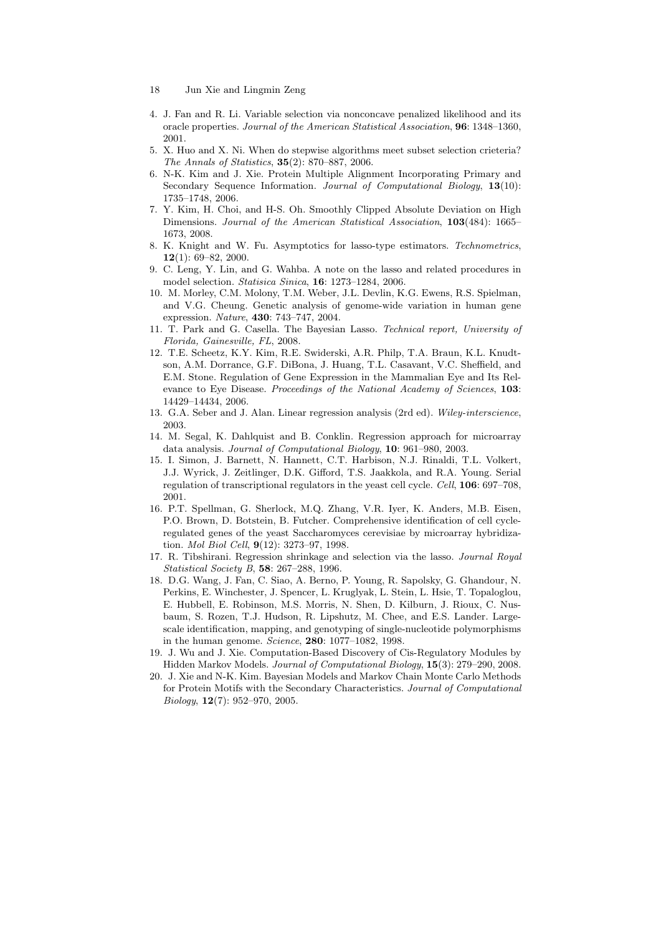- 18 Jun Xie and Lingmin Zeng
- 4. J. Fan and R. Li. Variable selection via nonconcave penalized likelihood and its oracle properties. Journal of the American Statistical Association, 96: 1348–1360, 2001.
- 5. X. Huo and X. Ni. When do stepwise algorithms meet subset selection crieteria? The Annals of Statistics, 35(2): 870–887, 2006.
- 6. N-K. Kim and J. Xie. Protein Multiple Alignment Incorporating Primary and Secondary Sequence Information. Journal of Computational Biology, 13(10): 1735–1748, 2006.
- 7. Y. Kim, H. Choi, and H-S. Oh. Smoothly Clipped Absolute Deviation on High Dimensions. Journal of the American Statistical Association, 103(484): 1665– 1673, 2008.
- 8. K. Knight and W. Fu. Asymptotics for lasso-type estimators. Technometrics,  $12(1): 69-82, 2000.$
- 9. C. Leng, Y. Lin, and G. Wahba. A note on the lasso and related procedures in model selection. Statisica Sinica, 16: 1273–1284, 2006.
- 10. M. Morley, C.M. Molony, T.M. Weber, J.L. Devlin, K.G. Ewens, R.S. Spielman, and V.G. Cheung. Genetic analysis of genome-wide variation in human gene expression. Nature, 430: 743–747, 2004.
- 11. T. Park and G. Casella. The Bayesian Lasso. Technical report, University of Florida, Gainesville, FL, 2008.
- 12. T.E. Scheetz, K.Y. Kim, R.E. Swiderski, A.R. Philp, T.A. Braun, K.L. Knudtson, A.M. Dorrance, G.F. DiBona, J. Huang, T.L. Casavant, V.C. Sheffield, and E.M. Stone. Regulation of Gene Expression in the Mammalian Eye and Its Relevance to Eye Disease. Proceedings of the National Academy of Sciences, 103: 14429–14434, 2006.
- 13. G.A. Seber and J. Alan. Linear regression analysis (2rd ed). Wiley-interscience, 2003.
- 14. M. Segal, K. Dahlquist and B. Conklin. Regression approach for microarray data analysis. Journal of Computational Biology, 10: 961–980, 2003.
- 15. I. Simon, J. Barnett, N. Hannett, C.T. Harbison, N.J. Rinaldi, T.L. Volkert, J.J. Wyrick, J. Zeitlinger, D.K. Gifford, T.S. Jaakkola, and R.A. Young. Serial regulation of transcriptional regulators in the yeast cell cycle. Cell, 106: 697–708, 2001.
- 16. P.T. Spellman, G. Sherlock, M.Q. Zhang, V.R. Iyer, K. Anders, M.B. Eisen, P.O. Brown, D. Botstein, B. Futcher. Comprehensive identification of cell cycleregulated genes of the yeast Saccharomyces cerevisiae by microarray hybridization. Mol Biol Cell, 9(12): 3273–97, 1998.
- 17. R. Tibshirani. Regression shrinkage and selection via the lasso. Journal Royal Statistical Society B, 58: 267–288, 1996.
- 18. D.G. Wang, J. Fan, C. Siao, A. Berno, P. Young, R. Sapolsky, G. Ghandour, N. Perkins, E. Winchester, J. Spencer, L. Kruglyak, L. Stein, L. Hsie, T. Topaloglou, E. Hubbell, E. Robinson, M.S. Morris, N. Shen, D. Kilburn, J. Rioux, C. Nusbaum, S. Rozen, T.J. Hudson, R. Lipshutz, M. Chee, and E.S. Lander. Largescale identification, mapping, and genotyping of single-nucleotide polymorphisms in the human genome. Science, 280: 1077–1082, 1998.
- 19. J. Wu and J. Xie. Computation-Based Discovery of Cis-Regulatory Modules by Hidden Markov Models. Journal of Computational Biology, 15(3): 279–290, 2008.
- 20. J. Xie and N-K. Kim. Bayesian Models and Markov Chain Monte Carlo Methods for Protein Motifs with the Secondary Characteristics. Journal of Computational  $Biology, 12(7): 952–970, 2005.$